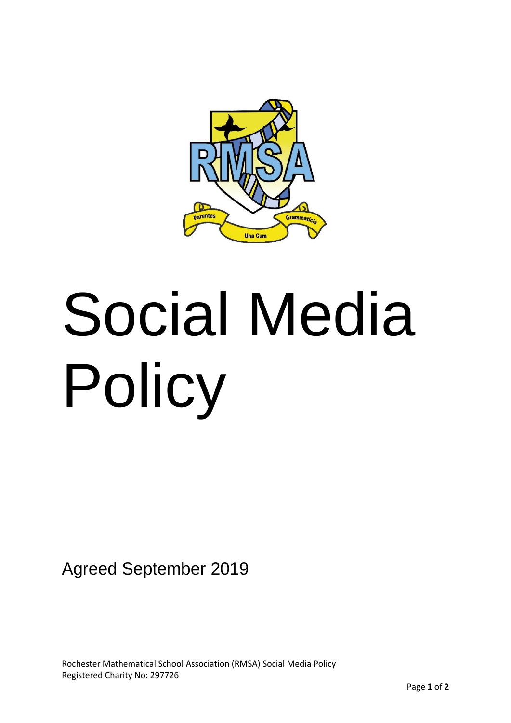

# Social Media Policy

Agreed September 2019

Rochester Mathematical School Association (RMSA) Social Media Policy Registered Charity No: 297726